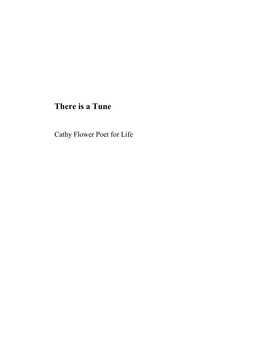# **There is a Tune**

Cathy Flower Poet for Life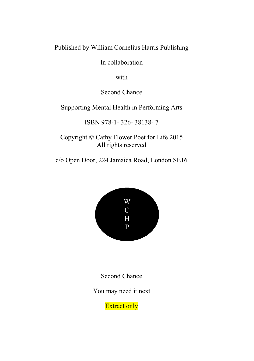Published by William Cornelius Harris Publishing

In collaboration

with

Second Chance

Supporting Mental Health in Performing Arts

ISBN 978-1- 326- 38138- 7

Copyright © Cathy Flower Poet for Life 2015 All rights reserved

c/o Open Door, 224 Jamaica Road, London SE16



Second Chance

You may need it next

**Extract only**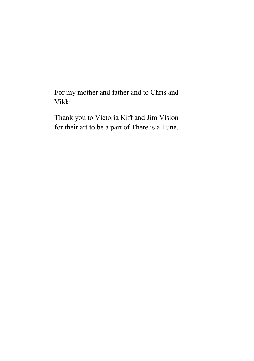For my mother and father and to Chris and Vikki

Thank you to Victoria Kiff and Jim Vision for their art to be a part of There is a Tune.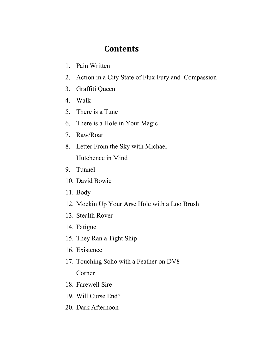## **Contents**

- 1. Pain Written
- 2. Action in a City State of Flux Fury and Compassion
- 3. Graffiti Queen
- 4. Walk
- 5. There is a Tune
- 6. There is a Hole in Your Magic
- 7. Raw/Roar
- 8. Letter From the Sky with Michael Hutchence in Mind
- 9. Tunnel
- 10. David Bowie
- 11. Body
- 12. Mockin Up Your Arse Hole with a Loo Brush
- 13. Stealth Rover
- 14. Fatigue
- 15. They Ran a Tight Ship
- 16. Existence
- 17. Touching Soho with a Feather on DV8 Corner
- 18. Farewell Sire
- 19. Will Curse End?
- 20. Dark Afternoon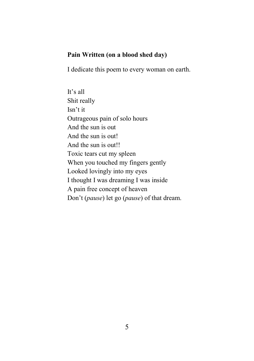### **Pain Written (on a blood shed day)**

I dedicate this poem to every woman on earth.

It's all Shit really Isn't it Outrageous pain of solo hours And the sun is out And the sun is out! And the sun is out!! Toxic tears cut my spleen When you touched my fingers gently Looked lovingly into my eyes I thought I was dreaming I was inside A pain free concept of heaven Don't (*pause*) let go (*pause*) of that dream.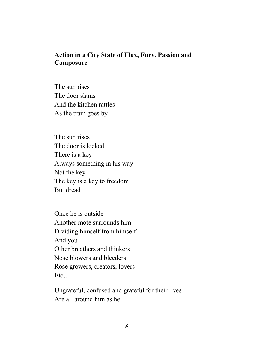#### **Action in a City State of Flux, Fury, Passion and Composure**

The sun rises The door slams And the kitchen rattles As the train goes by

The sun rises The door is locked There is a key Always something in his way Not the key The key is a key to freedom But dread

Once he is outside Another mote surrounds him Dividing himself from himself And you Other breathers and thinkers Nose blowers and bleeders Rose growers, creators, lovers Etc…

Ungrateful, confused and grateful for their lives Are all around him as he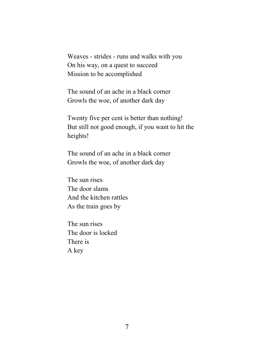Weaves - strides - runs and walks with you On his way, on a quest to succeed Mission to be accomplished

The sound of an ache in a black corner Growls the woe, of another dark day

Twenty five per cent is better than nothing! But still not good enough, if you want to hit the heights!

The sound of an ache in a black corner Growls the woe, of another dark day

The sun rises The door slams And the kitchen rattles As the train goes by

The sun rises The door is locked There is A key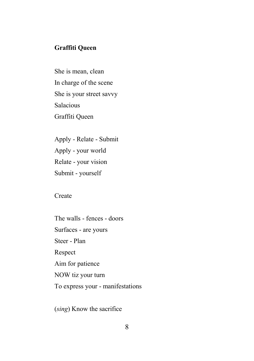### **Graffiti Queen**

She is mean, clean In charge of the scene She is your street savvy Salacious Graffiti Queen

Apply - Relate - Submit Apply - your world Relate - your vision Submit - yourself

**Create** 

The walls - fences - doors Surfaces - are yours Steer - Plan Respect Aim for patience NOW tiz your turn To express your - manifestations

(*sing*) Know the sacrifice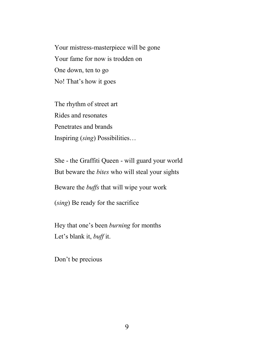Your mistress-masterpiece will be gone Your fame for now is trodden on One down, ten to go No! That's how it goes

The rhythm of street art Rides and resonates Penetrates and brands Inspiring (*sing*) Possibilities…

She - the Graffiti Queen - will guard your world But beware the *bites* who will steal your sights Beware the *buffs* that will wipe your work (*sing*) Be ready for the sacrifice

Hey that one's been *burning* for months Let's blank it, *buff* it.

Don't be precious